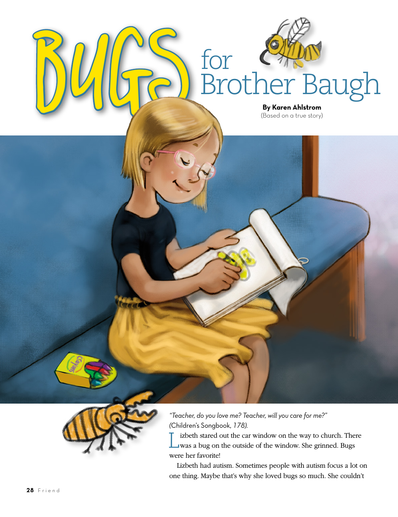

Bugs

*"Teacher, do you love me? Teacher, will you care for me?" (*Children's Songbook, *178).* 

for

Brother Baugh

**By Karen Ahlstrom** (Based on a true story)

Lizbeth stared out the car window on the way to church. There was a bug on the outside of the window. She grinned. Bugs were her favorite!

Lizbeth had autism. Sometimes people with autism focus a lot on one thing. Maybe that's why she loved bugs so much. She couldn't